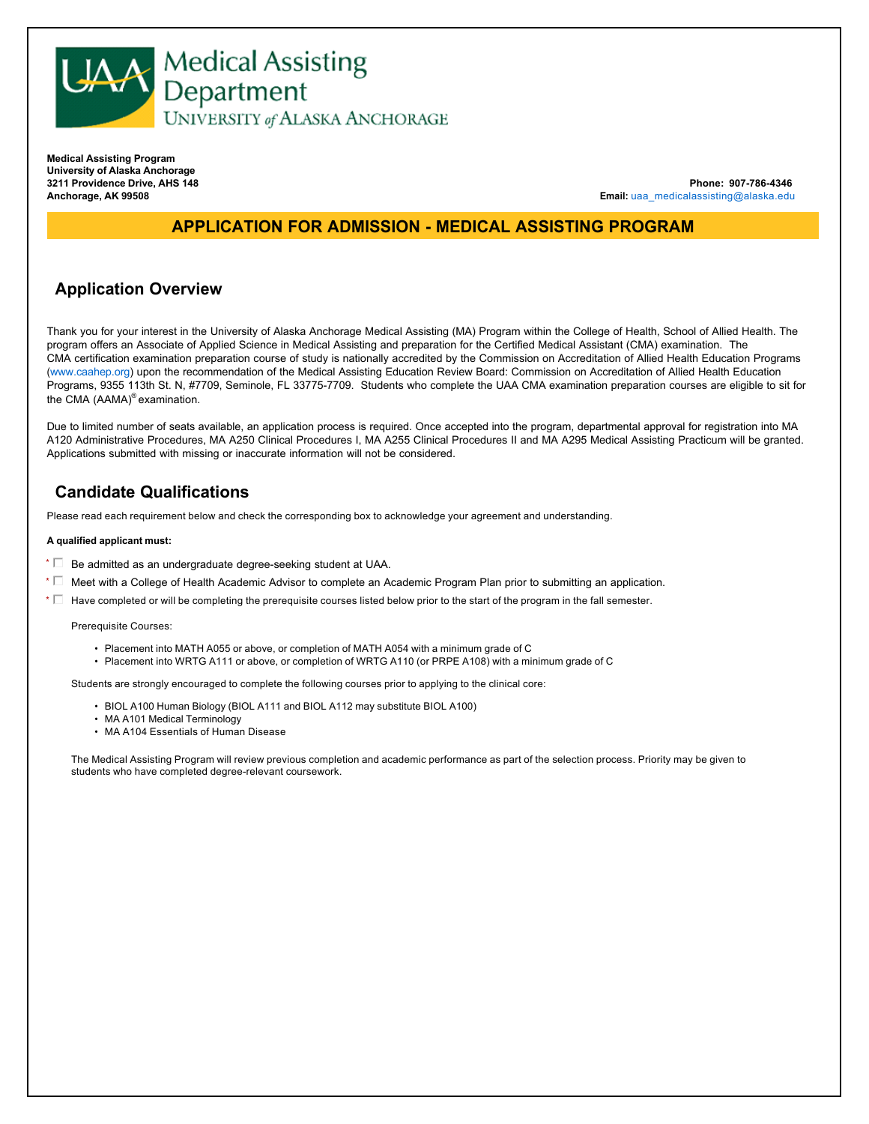

**Medical Assisting Program University of Alaska Anchorage 3211 Providence Drive, AHS 148 Anchorage, AK 99508**

**Phone: 907-786-4346 Email:** uaa\_medicalassisting@alaska.edu

## **APPLICATION FOR ADMISSION - MEDICAL ASSISTING PROGRAM**

## **Application Overview**

Thank you for your interest in the University of Alaska Anchorage Medical Assisting (MA) Program within the College of Health, School of Allied Health. The program offers an Associate of Applied Science in Medical Assisting and preparation for the Certified Medical Assistant (CMA) examination. The CMA certification examination preparation course of study is nationally accredited by the Commission on Accreditation of Allied Health Education Programs (www.caahep.org) upon the recommendation of the Medical Assisting Education Review Board: Commission on Accreditation of Allied Health Education Programs, 9355 113th St. N, #7709, Seminole, FL 33775-7709. Students who complete the UAA CMA examination preparation courses are eligible to sit for the CMA (AAMA)® examination.

Due to limited number of seats available, an application process is required. Once accepted into the program, departmental approval for registration into MA A120 Administrative Procedures, MA A250 Clinical Procedures I, MA A255 Clinical Procedures II and MA A295 Medical Assisting Practicum will be granted. Applications submitted with missing or inaccurate information will not be considered.

## **Candidate Qualifications**

Please read each requirement below and check the corresponding box to acknowledge your agreement and understanding.

#### **A qualified applicant must:**

- $\star$   $\Box$  Be admitted as an undergraduate degree-seeking student at UAA.
- $^*$   $\Box$  Meet with a College of Health Academic Advisor to complete an Academic Program Plan prior to submitting an application.
- $^*$   $\Box$  Have completed or will be completing the prerequisite courses listed below prior to the start of the program in the fall semester.

#### Prerequisite Courses:

- Placement into MATH A055 or above, or completion of MATH A054 with a minimum grade of C
- Placement into WRTG A111 or above, or completion of WRTG A110 (or PRPE A108) with a minimum grade of C

Students are strongly encouraged to complete the following courses prior to applying to the clinical core:

- BIOL A100 Human Biology (BIOL A111 and BIOL A112 may substitute BIOL A100)
- MA A101 Medical Terminology
- MA A104 Essentials of Human Disease

The Medical Assisting Program will review previous completion and academic performance as part of the selection process. Priority may be given to students who have completed degree-relevant coursework.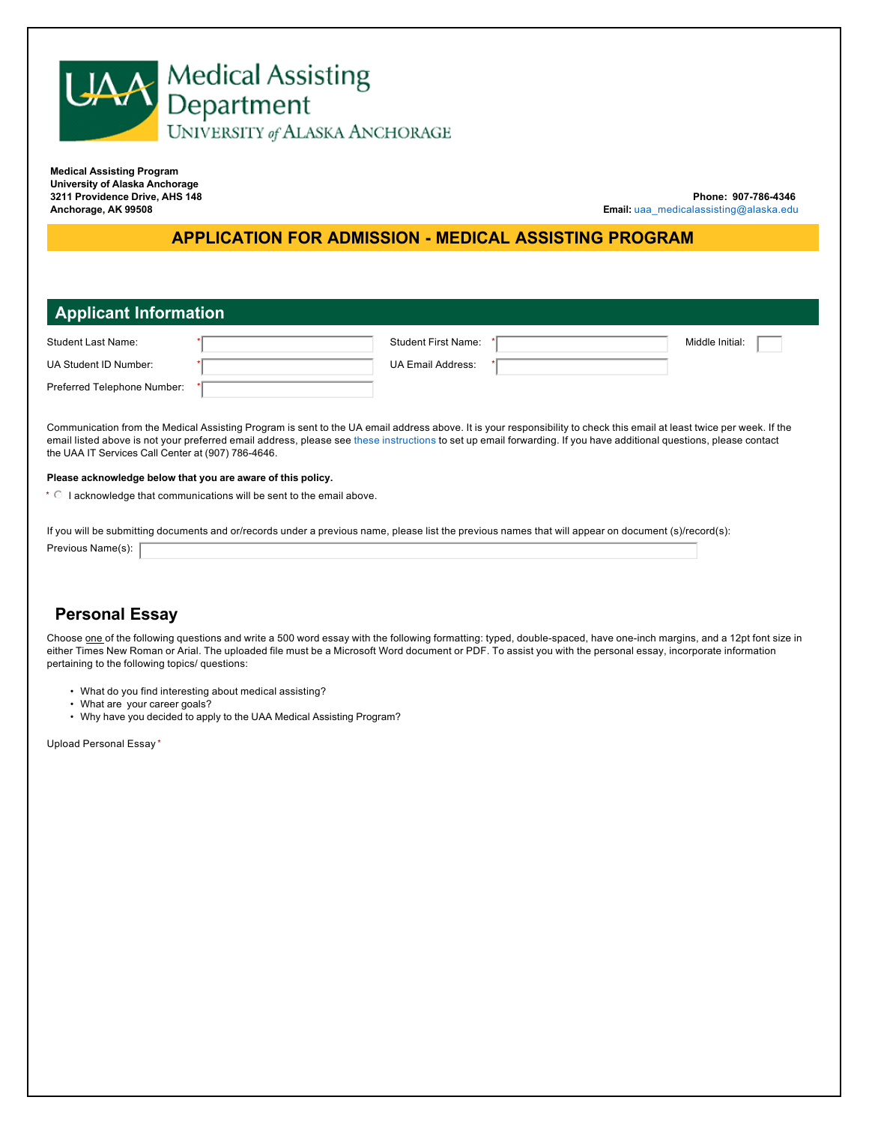

**Medical Assisting Program University of Alaska Anchorage 3211 Providence Drive, AHS 148 Anchorage, AK 99508**

**Phone: 907-786-4346 Email:** uaa\_medicalassisting@alaska.edu

## **APPLICATION FOR ADMISSION - MEDICAL ASSISTING PROGRAM**

## **Applicant Information**

| Student Last Name:          | <b>Student First Name:</b> | Middle Initial: |
|-----------------------------|----------------------------|-----------------|
| UA Student ID Number:       | <b>UA Email Address:</b>   |                 |
| Preferred Telephone Number: |                            |                 |

Communication from the Medical Assisting Program is sent to the UA email address above. It is your responsibility to check this email at least twice per week. If the email listed above is not your preferred email address, please see these instructions to set up email forwarding. If you have additional questions, please contact the UAA IT Services Call Center at (907) 786-4646.

#### **Please acknowledge below that you are aware of this policy.**

 $*$   $\circ$  I acknowledge that communications will be sent to the email above.

If you will be submitting documents and or/records under a previous name, please list the previous names that will appear on document (s)/record(s):

Previous Name(s):

# **Personal Essay**

Choose one of the following questions and write a 500 word essay with the following formatting: typed, double-spaced, have one-inch margins, and a 12pt font size in either Times New Roman or Arial. The uploaded file must be a Microsoft Word document or PDF. To assist you with the personal essay, incorporate information pertaining to the following topics/ questions:

- What do you find interesting about medical assisting?
- What are your career goals?
- Why have you decided to apply to the UAA Medical Assisting Program?

Upload Personal Essay \*